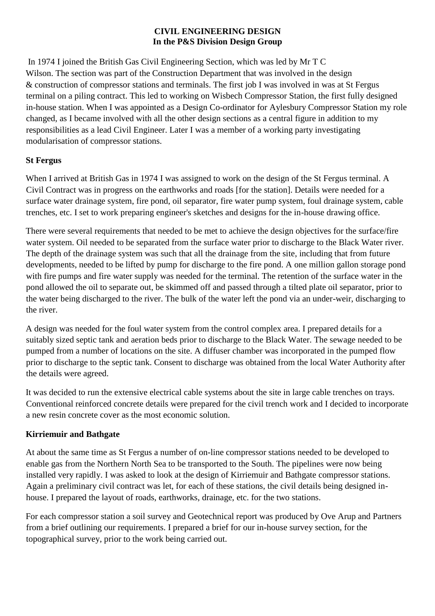#### **CIVIL ENGINEERING DESIGN In the P&S Division Design Group**

In 1974 I joined the British Gas Civil Engineering Section, which was led by Mr T C Wilson. The section was part of the Construction Department that was involved in the design & construction of compressor stations and terminals. The first job I was involved in was at St Fergus terminal on a piling contract. This led to working on Wisbech Compressor Station, the first fully designed in-house station. When I was appointed as a Design Co-ordinator for Aylesbury Compressor Station my role changed, as I became involved with all the other design sections as a central figure in addition to my responsibilities as a lead Civil Engineer. Later I was a member of a working party investigating modularisation of compressor stations.

# **St Fergus**

When I arrived at British Gas in 1974 I was assigned to work on the design of the St Fergus terminal. A Civil Contract was in progress on the earthworks and roads [for the station]. Details were needed for a surface water drainage system, fire pond, oil separator, fire water pump system, foul drainage system, cable trenches, etc. I set to work preparing engineer's sketches and designs for the in-house drawing office.

There were several requirements that needed to be met to achieve the design objectives for the surface/fire water system. Oil needed to be separated from the surface water prior to discharge to the Black Water river. The depth of the drainage system was such that all the drainage from the site, including that from future developments, needed to be lifted by pump for discharge to the fire pond. A one million gallon storage pond with fire pumps and fire water supply was needed for the terminal. The retention of the surface water in the pond allowed the oil to separate out, be skimmed off and passed through a tilted plate oil separator, prior to the water being discharged to the river. The bulk of the water left the pond via an under-weir, discharging to the river.

A design was needed for the foul water system from the control complex area. I prepared details for a suitably sized septic tank and aeration beds prior to discharge to the Black Water. The sewage needed to be pumped from a number of locations on the site. A diffuser chamber was incorporated in the pumped flow prior to discharge to the septic tank. Consent to discharge was obtained from the local Water Authority after the details were agreed.

It was decided to run the extensive electrical cable systems about the site in large cable trenches on trays. Conventional reinforced concrete details were prepared for the civil trench work and I decided to incorporate a new resin concrete cover as the most economic solution.

# **Kirriemuir and Bathgate**

At about the same time as St Fergus a number of on-line compressor stations needed to be developed to enable gas from the Northern North Sea to be transported to the South. The pipelines were now being installed very rapidly. I was asked to look at the design of Kirriemuir and Bathgate compressor stations. Again a preliminary civil contract was let, for each of these stations, the civil details being designed inhouse. I prepared the layout of roads, earthworks, drainage, etc. for the two stations.

For each compressor station a soil survey and Geotechnical report was produced by Ove Arup and Partners from a brief outlining our requirements. I prepared a brief for our in-house survey section, for the topographical survey, prior to the work being carried out.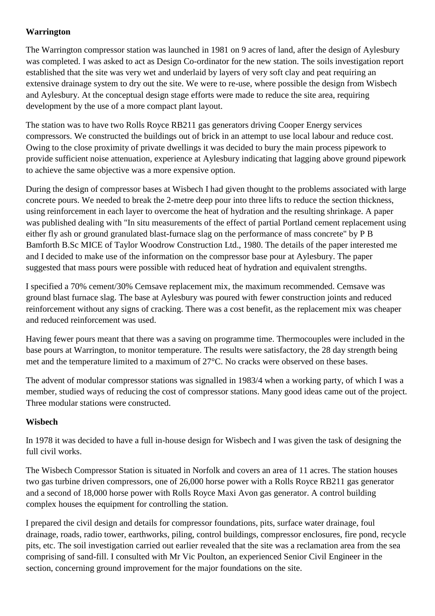#### **Warrington**

The Warrington compressor station was launched in 1981 on 9 acres of land, after the design of Aylesbury was completed. I was asked to act as Design Co-ordinator for the new station. The soils investigation report established that the site was very wet and underlaid by layers of very soft clay and peat requiring an extensive drainage system to dry out the site. We were to re-use, where possible the design from Wisbech and Aylesbury. At the conceptual design stage efforts were made to reduce the site area, requiring development by the use of a more compact plant layout.

The station was to have two Rolls Royce RB211 gas generators driving Cooper Energy services compressors. We constructed the buildings out of brick in an attempt to use local labour and reduce cost. Owing to the close proximity of private dwellings it was decided to bury the main process pipework to provide sufficient noise attenuation, experience at Aylesbury indicating that lagging above ground pipework to achieve the same objective was a more expensive option.

During the design of compressor bases at Wisbech I had given thought to the problems associated with large concrete pours. We needed to break the 2-metre deep pour into three lifts to reduce the section thickness, using reinforcement in each layer to overcome the heat of hydration and the resulting shrinkage. A paper was published dealing with "In situ measurements of the effect of partial Portland cement replacement using either fly ash or ground granulated blast-furnace slag on the performance of mass concrete" by P B Bamforth B.Sc MICE of Taylor Woodrow Construction Ltd., 1980. The details of the paper interested me and I decided to make use of the information on the compressor base pour at Aylesbury. The paper suggested that mass pours were possible with reduced heat of hydration and equivalent strengths.

I specified a 70% cement/30% Cemsave replacement mix, the maximum recommended. Cemsave was ground blast furnace slag. The base at Aylesbury was poured with fewer construction joints and reduced reinforcement without any signs of cracking. There was a cost benefit, as the replacement mix was cheaper and reduced reinforcement was used.

Having fewer pours meant that there was a saving on programme time. Thermocouples were included in the base pours at Warrington, to monitor temperature. The results were satisfactory, the 28 day strength being met and the temperature limited to a maximum of 27°C. No cracks were observed on these bases.

The advent of modular compressor stations was signalled in 1983/4 when a working party, of which I was a member, studied ways of reducing the cost of compressor stations. Many good ideas came out of the project. Three modular stations were constructed.

# **Wisbech**

In 1978 it was decided to have a full in-house design for Wisbech and I was given the task of designing the full civil works.

The Wisbech Compressor Station is situated in Norfolk and covers an area of 11 acres. The station houses two gas turbine driven compressors, one of 26,000 horse power with a Rolls Royce RB211 gas generator and a second of 18,000 horse power with Rolls Royce Maxi Avon gas generator. A control building complex houses the equipment for controlling the station.

I prepared the civil design and details for compressor foundations, pits, surface water drainage, foul drainage, roads, radio tower, earthworks, piling, control buildings, compressor enclosures, fire pond, recycle pits, etc. The soil investigation carried out earlier revealed that the site was a reclamation area from the sea comprising of sand-fill. I consulted with Mr Vic Poulton, an experienced Senior Civil Engineer in the section, concerning ground improvement for the major foundations on the site.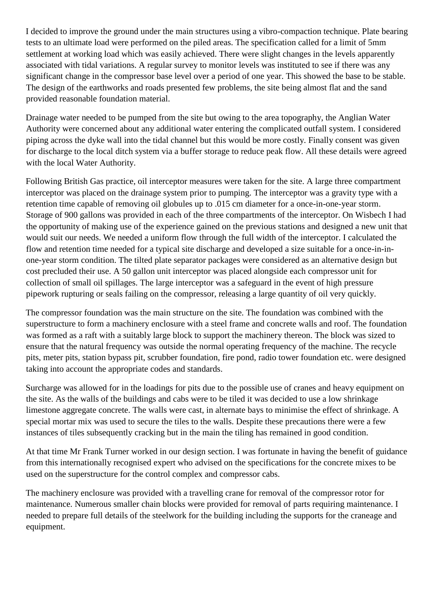I decided to improve the ground under the main structures using a vibro-compaction technique. Plate bearing tests to an ultimate load were performed on the piled areas. The specification called for a limit of 5mm settlement at working load which was easily achieved. There were slight changes in the levels apparently associated with tidal variations. A regular survey to monitor levels was instituted to see if there was any significant change in the compressor base level over a period of one year. This showed the base to be stable. The design of the earthworks and roads presented few problems, the site being almost flat and the sand provided reasonable foundation material.

Drainage water needed to be pumped from the site but owing to the area topography, the Anglian Water Authority were concerned about any additional water entering the complicated outfall system. I considered piping across the dyke wall into the tidal channel but this would be more costly. Finally consent was given for discharge to the local ditch system via a buffer storage to reduce peak flow. All these details were agreed with the local Water Authority.

Following British Gas practice, oil interceptor measures were taken for the site. A large three compartment interceptor was placed on the drainage system prior to pumping. The interceptor was a gravity type with a retention time capable of removing oil globules up to .015 cm diameter for a once-in-one-year storm. Storage of 900 gallons was provided in each of the three compartments of the interceptor. On Wisbech I had the opportunity of making use of the experience gained on the previous stations and designed a new unit that would suit our needs. We needed a uniform flow through the full width of the interceptor. I calculated the flow and retention time needed for a typical site discharge and developed a size suitable for a once-in-inone-year storm condition. The tilted plate separator packages were considered as an alternative design but cost precluded their use. A 50 gallon unit interceptor was placed alongside each compressor unit for collection of small oil spillages. The large interceptor was a safeguard in the event of high pressure pipework rupturing or seals failing on the compressor, releasing a large quantity of oil very quickly.

The compressor foundation was the main structure on the site. The foundation was combined with the superstructure to form a machinery enclosure with a steel frame and concrete walls and roof. The foundation was formed as a raft with a suitably large block to support the machinery thereon. The block was sized to ensure that the natural frequency was outside the normal operating frequency of the machine. The recycle pits, meter pits, station bypass pit, scrubber foundation, fire pond, radio tower foundation etc. were designed taking into account the appropriate codes and standards.

Surcharge was allowed for in the loadings for pits due to the possible use of cranes and heavy equipment on the site. As the walls of the buildings and cabs were to be tiled it was decided to use a low shrinkage limestone aggregate concrete. The walls were cast, in alternate bays to minimise the effect of shrinkage. A special mortar mix was used to secure the tiles to the walls. Despite these precautions there were a few instances of tiles subsequently cracking but in the main the tiling has remained in good condition.

At that time Mr Frank Turner worked in our design section. I was fortunate in having the benefit of guidance from this internationally recognised expert who advised on the specifications for the concrete mixes to be used on the superstructure for the control complex and compressor cabs.

The machinery enclosure was provided with a travelling crane for removal of the compressor rotor for maintenance. Numerous smaller chain blocks were provided for removal of parts requiring maintenance. I needed to prepare full details of the steelwork for the building including the supports for the craneage and equipment.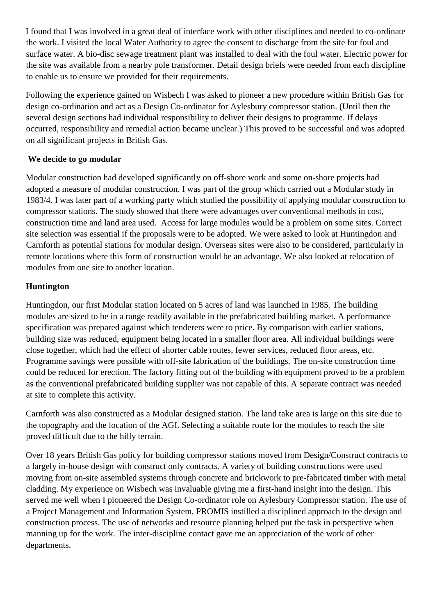I found that I was involved in a great deal of interface work with other disciplines and needed to co-ordinate the work. I visited the local Water Authority to agree the consent to discharge from the site for foul and surface water. A bio-disc sewage treatment plant was installed to deal with the foul water. Electric power for the site was available from a nearby pole transformer. Detail design briefs were needed from each discipline to enable us to ensure we provided for their requirements.

Following the experience gained on Wisbech I was asked to pioneer a new procedure within British Gas for design co-ordination and act as a Design Co-ordinator for Aylesbury compressor station. (Until then the several design sections had individual responsibility to deliver their designs to programme. If delays occurred, responsibility and remedial action became unclear.) This proved to be successful and was adopted on all significant projects in British Gas.

# **We decide to go modular**

Modular construction had developed significantly on off-shore work and some on-shore projects had adopted a measure of modular construction. I was part of the group which carried out a Modular study in 1983/4. I was later part of a working party which studied the possibility of applying modular construction to compressor stations. The study showed that there were advantages over conventional methods in cost, construction time and land area used. Access for large modules would be a problem on some sites. Correct site selection was essential if the proposals were to be adopted. We were asked to look at Huntingdon and Carnforth as potential stations for modular design. Overseas sites were also to be considered, particularly in remote locations where this form of construction would be an advantage. We also looked at relocation of modules from one site to another location.

# **Huntington**

Huntingdon, our first Modular station located on 5 acres of land was launched in 1985. The building modules are sized to be in a range readily available in the prefabricated building market. A performance specification was prepared against which tenderers were to price. By comparison with earlier stations, building size was reduced, equipment being located in a smaller floor area. All individual buildings were close together, which had the effect of shorter cable routes, fewer services, reduced floor areas, etc. Programme savings were possible with off-site fabrication of the buildings. The on-site construction time could be reduced for erection. The factory fitting out of the building with equipment proved to be a problem as the conventional prefabricated building supplier was not capable of this. A separate contract was needed at site to complete this activity.

Carnforth was also constructed as a Modular designed station. The land take area is large on this site due to the topography and the location of the AGI. Selecting a suitable route for the modules to reach the site proved difficult due to the hilly terrain.

Over 18 years British Gas policy for building compressor stations moved from Design/Construct contracts to a largely in-house design with construct only contracts. A variety of building constructions were used moving from on-site assembled systems through concrete and brickwork to pre-fabricated timber with metal cladding. My experience on Wisbech was invaluable giving me a first-hand insight into the design. This served me well when I pioneered the Design Co-ordinator role on Aylesbury Compressor station. The use of a Project Management and Information System, PROMIS instilled a disciplined approach to the design and construction process. The use of networks and resource planning helped put the task in perspective when manning up for the work. The inter-discipline contact gave me an appreciation of the work of other departments.